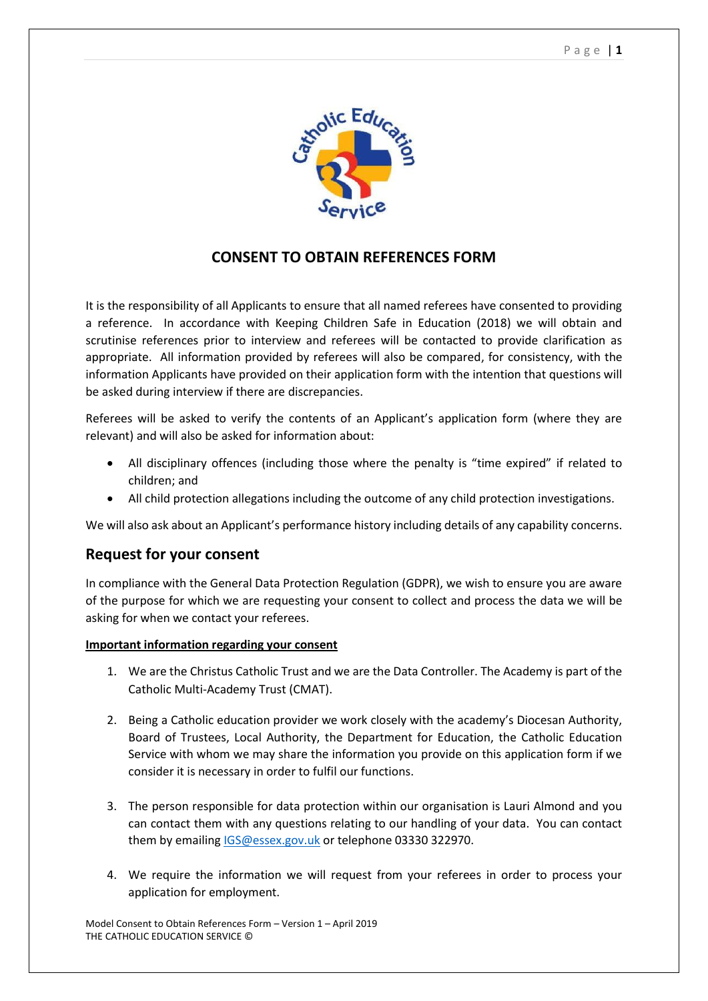

## **CONSENT TO OBTAIN REFERENCES FORM**

It is the responsibility of all Applicants to ensure that all named referees have consented to providing a reference. In accordance with Keeping Children Safe in Education (2018) we will obtain and scrutinise references prior to interview and referees will be contacted to provide clarification as appropriate. All information provided by referees will also be compared, for consistency, with the information Applicants have provided on their application form with the intention that questions will be asked during interview if there are discrepancies.

Referees will be asked to verify the contents of an Applicant's application form (where they are relevant) and will also be asked for information about:

- All disciplinary offences (including those where the penalty is "time expired" if related to children; and
- All child protection allegations including the outcome of any child protection investigations.

We will also ask about an Applicant's performance history including details of any capability concerns.

## **Request for your consent**

In compliance with the General Data Protection Regulation (GDPR), we wish to ensure you are aware of the purpose for which we are requesting your consent to collect and process the data we will be asking for when we contact your referees.

## **Important information regarding your consent**

- 1. We are the Christus Catholic Trust and we are the Data Controller. The Academy is part of the Catholic Multi-Academy Trust (CMAT).
- 2. Being a Catholic education provider we work closely with the academy's Diocesan Authority, Board of Trustees, Local Authority, the Department for Education, the Catholic Education Service with whom we may share the information you provide on this application form if we consider it is necessary in order to fulfil our functions.
- 3. The person responsible for data protection within our organisation is Lauri Almond and you can contact them with any questions relating to our handling of your data. You can contact them by emailing [IGS@essex.gov.uk](mailto:IGS@essex.gov.uk) or telephone 03330 322970.
- 4. We require the information we will request from your referees in order to process your application for employment.

Model Consent to Obtain References Form – Version 1 – April 2019 THE CATHOLIC EDUCATION SERVICE ©